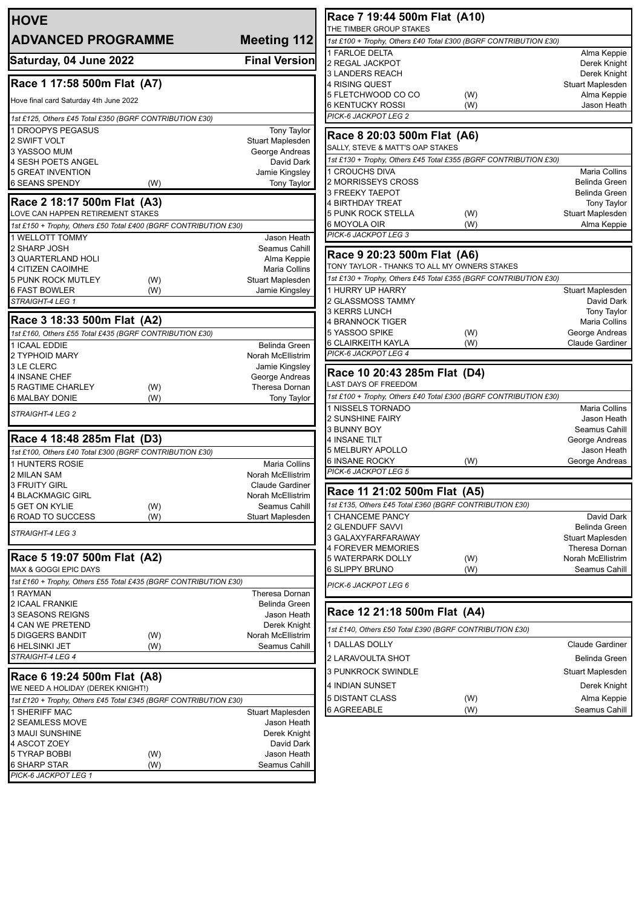| <b>HOVE</b>                                                      |                                    | Race 7 19:44 500m Flat (A10)                                                                |
|------------------------------------------------------------------|------------------------------------|---------------------------------------------------------------------------------------------|
| <b>ADVANCED PROGRAMME</b>                                        | Meeting 112                        | THE TIMBER GROUP STAKES<br>1st £100 + Trophy, Others £40 Total £300 (BGRF CONTRIBUTION £30) |
|                                                                  |                                    | 1 FARLOE DELTA                                                                              |
| Saturday, 04 June 2022                                           | <b>Final Version</b>               | 2 REGAL JACKPOT                                                                             |
| Race 1 17:58 500m Flat (A7)                                      |                                    | <b>3 LANDERS REACH</b>                                                                      |
|                                                                  |                                    | 4 RISING QUEST<br>5 FLETCHWOOD CO CO<br>(W)                                                 |
| Hove final card Saturday 4th June 2022                           |                                    | <b>6 KENTUCKY ROSSI</b><br>(W)                                                              |
| 1st £125, Others £45 Total £350 (BGRF CONTRIBUTION £30)          |                                    | PICK-6 JACKPOT LEG 2                                                                        |
| 1 DROOPYS PEGASUS                                                | Tony Taylor                        | Race 8 20:03 500m Flat (A6)                                                                 |
| 2 SWIFT VOLT                                                     | Stuart Maplesden                   | SALLY, STEVE & MATT'S OAP STAKES                                                            |
| 3 YASSOO MUM<br>4 SESH POETS ANGEL                               | George Andreas<br>David Dark       | 1st £130 + Trophy, Others £45 Total £355 (BGRF CONTRIBUTION £30)                            |
| 5 GREAT INVENTION                                                | Jamie Kingsley                     | 1 CROUCHS DIVA                                                                              |
| <b>6 SEANS SPENDY</b><br>(W)                                     | <b>Tony Taylor</b>                 | 2 MORRISSEYS CROSS                                                                          |
| Race 2 18:17 500m Flat (A3)                                      |                                    | 3 FREEKY TAEPOT<br>4 BIRTHDAY TREAT                                                         |
| LOVE CAN HAPPEN RETIREMENT STAKES                                |                                    | <b>5 PUNK ROCK STELLA</b><br>(W)                                                            |
| 1st £150 + Trophy, Others £50 Total £400 (BGRF CONTRIBUTION £30) |                                    | 6 MOYOLA OIR<br>(W)                                                                         |
| 1 WELLOTT TOMMY                                                  | Jason Heath                        | PICK-6 JACKPOT LEG 3                                                                        |
| 2 SHARP JOSH                                                     | Seamus Cahill                      | Race 9 20:23 500m Flat (A6)                                                                 |
| 3 QUARTERLAND HOLI                                               | Alma Keppie                        | TONY TAYLOR - THANKS TO ALL MY OWNERS STAKES                                                |
| 4 CITIZEN CAOIMHE<br>5 PUNK ROCK MUTLEY<br>(W)                   | Maria Collins<br>Stuart Maplesden  | 1st £130 + Trophy, Others £45 Total £355 (BGRF CONTRIBUTION £30)                            |
| 6 FAST BOWLER<br>(W)                                             | Jamie Kingsley                     | 1 HURRY UP HARRY                                                                            |
| STRAIGHT-4 LEG 1                                                 |                                    | 2 GLASSMOSS TAMMY                                                                           |
| Race 3 18:33 500m Flat (A2)                                      |                                    | <b>3 KERRS LUNCH</b>                                                                        |
| 1st £160, Others £55 Total £435 (BGRF CONTRIBUTION £30)          |                                    | 4 BRANNOCK TIGER<br>5 YASSOO SPIKE<br>(W)                                                   |
| 1 ICAAL EDDIE                                                    | Belinda Green                      | (W)<br>6 CLAIRKEITH KAYLA                                                                   |
| 2 TYPHOID MARY                                                   | Norah McEllistrim                  | PICK-6 JACKPOT LEG 4                                                                        |
| 3 LE CLERC                                                       | Jamie Kingsley                     | Race 10 20:43 285m Flat (D4)                                                                |
| 4 INSANE CHEF                                                    | George Andreas                     | LAST DAYS OF FREEDOM                                                                        |
| <b>5 RAGTIME CHARLEY</b><br>(W)<br>6 MALBAY DONIE<br>(W)         | Theresa Dornan<br>Tony Taylor      | 1st £100 + Trophy, Others £40 Total £300 (BGRF CONTRIBUTION £30)                            |
|                                                                  |                                    | 1 NISSELS TORNADO                                                                           |
| STRAIGHT-4 LEG 2                                                 |                                    | 2 SUNSHINE FAIRY                                                                            |
| Race 4 18:48 285m Flat (D3)                                      |                                    | 3 BUNNY BOY<br>4 INSANE TILT                                                                |
| 1st £100, Others £40 Total £300 (BGRF CONTRIBUTION £30)          |                                    | 5 MELBURY APOLLO                                                                            |
| <b>1 HUNTERS ROSIE</b>                                           | <b>Maria Collins</b>               | <b>6 INSANE ROCKY</b><br>(W)                                                                |
| 2 MILAN SAM                                                      | Norah McEllistrim                  | PICK-6 JACKPOT LEG 5                                                                        |
| 3 FRUITY GIRL                                                    | Claude Gardiner                    | Race 11 21:02 500m Flat (A5)                                                                |
| <b>4 BLACKMAGIC GIRL</b><br>5 GET ON KYLIE<br>(W)                | Norah McEllistrim<br>Seamus Cahill | 1st £135, Others £45 Total £360 (BGRF CONTRIBUTION £30)                                     |
| 6 ROAD TO SUCCESS<br>(W)                                         | <b>Stuart Maplesden</b>            | 1 CHANCEME PANCY                                                                            |
| STRAIGHT-4 LEG 3                                                 |                                    | 2 GLENDUFF SAVVI                                                                            |
|                                                                  |                                    | 3 GALAXYFARFARAWAY                                                                          |
| Race 5 19:07 500m Flat (A2)                                      |                                    | 4 FOREVER MEMORIES<br><b>5 WATERPARK DOLLY</b><br>(W)                                       |
| MAX & GOGGI EPIC DAYS                                            |                                    | 6 SLIPPY BRUNO<br>(W)                                                                       |
| 1st £160 + Trophy, Others £55 Total £435 (BGRF CONTRIBUTION £30) |                                    | PICK-6 JACKPOT LEG 6                                                                        |
| 1 RAYMAN                                                         | Theresa Dornan                     |                                                                                             |
| <b>2 ICAAL FRANKIE</b>                                           | Belinda Green                      | Race 12 21:18 500m Flat (A4)                                                                |
| 3 SEASONS REIGNS<br><b>4 CAN WE PRETEND</b>                      | Jason Heath<br>Derek Knight        |                                                                                             |
| 5 DIGGERS BANDIT<br>(W)                                          | Norah McEllistrim                  | 1st £140, Others £50 Total £390 (BGRF CONTRIBUTION £30)                                     |
| 6 HELSINKI JET<br>(W)                                            | Seamus Cahill                      | 1 DALLAS DOLLY                                                                              |
| STRAIGHT-4 LEG 4                                                 |                                    | 2 LARAVOULTA SHOT                                                                           |
| Race 6 19:24 500m Flat (A8)                                      |                                    | 3 PUNKROCK SWINDLE                                                                          |
| WE NEED A HOLIDAY (DEREK KNIGHT!)                                |                                    | 4 INDIAN SUNSET                                                                             |
| 1st £120 + Trophy, Others £45 Total £345 (BGRF CONTRIBUTION £30) |                                    | 5 DISTANT CLASS<br>(W)                                                                      |
| 1 SHERIFF MAC                                                    | Stuart Maplesden                   | <b>6 AGREEABLE</b><br>(W)                                                                   |
| 2 SEAMLESS MOVE                                                  | Jason Heath                        |                                                                                             |
|                                                                  | Derek Knight                       |                                                                                             |
| 3 MAUI SUNSHINE                                                  |                                    |                                                                                             |
| 4 ASCOT ZOEY<br>5 TYRAP BOBBI<br>(W)                             | David Dark<br>Jason Heath          |                                                                                             |
| 6 SHARP STAR<br>(W)<br>PICK-6 JACKPOT LEG 1                      | Seamus Cahill                      |                                                                                             |

Alma Keppie Derek Knight Derek Knight Stuart Maplesden Alma Keppie Jason Heath

Maria Collins Belinda Green Belinda Green Tony Taylor Stuart Maplesden Alma Keppie

Stuart Maplesden David Dark Tony Taylor Maria Collins George Andreas Claude Gardiner

Maria Collins Jason Heath Seamus Cahill George Andreas Jason Heath George Andreas

David Dark Belinda Green Stuart Maplesden Theresa Dornan Norah McEllistrim Seamus Cahill

Claude Gardiner Belinda Green Stuart Maplesden Derek Knight Alma Keppie Seamus Cahill